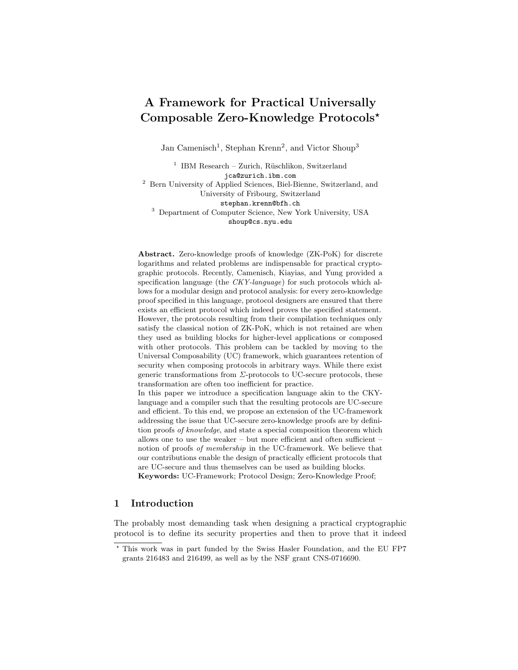# A Framework for Practical Universally Composable Zero-Knowledge Protocols?

Jan Camenisch<sup>1</sup>, Stephan Krenn<sup>2</sup>, and Victor Shoup<sup>3</sup>

<sup>1</sup> IBM Research – Zurich, Rüschlikon, Switzerland jca@zurich.ibm.com <sup>2</sup> Bern University of Applied Sciences, Biel-Bienne, Switzerland, and University of Fribourg, Switzerland stephan.krenn@bfh.ch <sup>3</sup> Department of Computer Science, New York University, USA shoup@cs.nyu.edu

Abstract. Zero-knowledge proofs of knowledge (ZK-PoK) for discrete logarithms and related problems are indispensable for practical cryptographic protocols. Recently, Camenisch, Kiayias, and Yung provided a specification language (the CKY-language) for such protocols which allows for a modular design and protocol analysis: for every zero-knowledge proof specified in this language, protocol designers are ensured that there exists an efficient protocol which indeed proves the specified statement. However, the protocols resulting from their compilation techniques only satisfy the classical notion of ZK-PoK, which is not retained are when they used as building blocks for higher-level applications or composed with other protocols. This problem can be tackled by moving to the Universal Composability (UC) framework, which guarantees retention of security when composing protocols in arbitrary ways. While there exist generic transformations from  $\Sigma$ -protocols to UC-secure protocols, these transformation are often too inefficient for practice.

In this paper we introduce a specification language akin to the CKYlanguage and a compiler such that the resulting protocols are UC-secure and efficient. To this end, we propose an extension of the UC-framework addressing the issue that UC-secure zero-knowledge proofs are by definition proofs of knowledge, and state a special composition theorem which allows one to use the weaker – but more efficient and often sufficient – notion of proofs of membership in the UC-framework. We believe that our contributions enable the design of practically efficient protocols that are UC-secure and thus themselves can be used as building blocks.

Keywords: UC-Framework; Protocol Design; Zero-Knowledge Proof;

## 1 Introduction

The probably most demanding task when designing a practical cryptographic protocol is to define its security properties and then to prove that it indeed

<sup>?</sup> This work was in part funded by the Swiss Hasler Foundation, and the EU FP7 grants [216483](http://www.primelife.eu/) and [216499,](http://www.cace-project.eu/) as well as by the NSF grant CNS-0716690.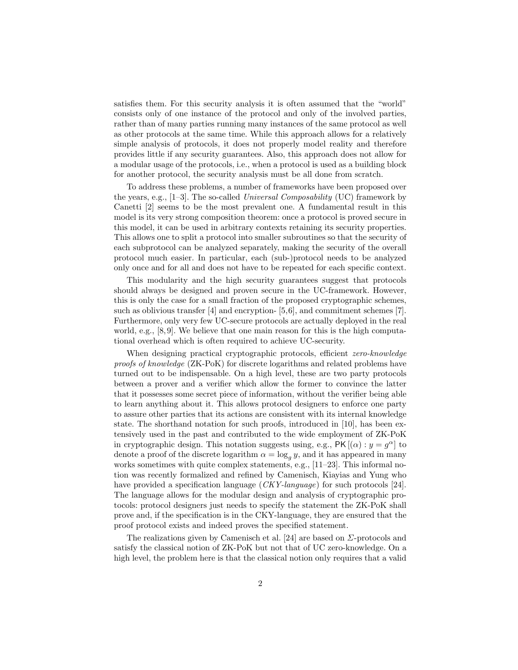satisfies them. For this security analysis it is often assumed that the "world" consists only of one instance of the protocol and only of the involved parties, rather than of many parties running many instances of the same protocol as well as other protocols at the same time. While this approach allows for a relatively simple analysis of protocols, it does not properly model reality and therefore provides little if any security guarantees. Also, this approach does not allow for a modular usage of the protocols, i.e., when a protocol is used as a building block for another protocol, the security analysis must be all done from scratch.

To address these problems, a number of frameworks have been proposed over the years, e.g., [\[1](#page-15-0)[–3\]](#page-15-1). The so-called Universal Composability (UC) framework by Canetti [\[2\]](#page-15-2) seems to be the most prevalent one. A fundamental result in this model is its very strong composition theorem: once a protocol is proved secure in this model, it can be used in arbitrary contexts retaining its security properties. This allows one to split a protocol into smaller subroutines so that the security of each subprotocol can be analyzed separately, making the security of the overall protocol much easier. In particular, each (sub-)protocol needs to be analyzed only once and for all and does not have to be repeated for each specific context.

This modularity and the high security guarantees suggest that protocols should always be designed and proven secure in the UC-framework. However, this is only the case for a small fraction of the proposed cryptographic schemes, such as oblivious transfer [\[4\]](#page-15-3) and encryption- [\[5,](#page-15-4)[6\]](#page-15-5), and commitment schemes [\[7\]](#page-15-6). Furthermore, only very few UC-secure protocols are actually deployed in the real world, e.g., [\[8,](#page-15-7)[9\]](#page-15-8). We believe that one main reason for this is the high computational overhead which is often required to achieve UC-security.

When designing practical cryptographic protocols, efficient *zero-knowledge* proofs of knowledge (ZK-PoK) for discrete logarithms and related problems have turned out to be indispensable. On a high level, these are two party protocols between a prover and a verifier which allow the former to convince the latter that it possesses some secret piece of information, without the verifier being able to learn anything about it. This allows protocol designers to enforce one party to assure other parties that its actions are consistent with its internal knowledge state. The shorthand notation for such proofs, introduced in [\[10\]](#page-15-9), has been extensively used in the past and contributed to the wide employment of ZK-PoK in cryptographic design. This notation suggests using, e.g.,  $\mathsf{PK}[(\alpha) : y = g^{\alpha}]$  to denote a proof of the discrete logarithm  $\alpha = \log_a y$ , and it has appeared in many works sometimes with quite complex statements, e.g., [\[11–](#page-16-0)[23\]](#page-16-1). This informal notion was recently formalized and refined by Camenisch, Kiayias and Yung who have provided a specification language (*CKY-language*) for such protocols [\[24\]](#page-16-2). The language allows for the modular design and analysis of cryptographic protocols: protocol designers just needs to specify the statement the ZK-PoK shall prove and, if the specification is in the CKY-language, they are ensured that the proof protocol exists and indeed proves the specified statement.

The realizations given by Camenisch et al. [\[24\]](#page-16-2) are based on  $\Sigma$ -protocols and satisfy the classical notion of ZK-PoK but not that of UC zero-knowledge. On a high level, the problem here is that the classical notion only requires that a valid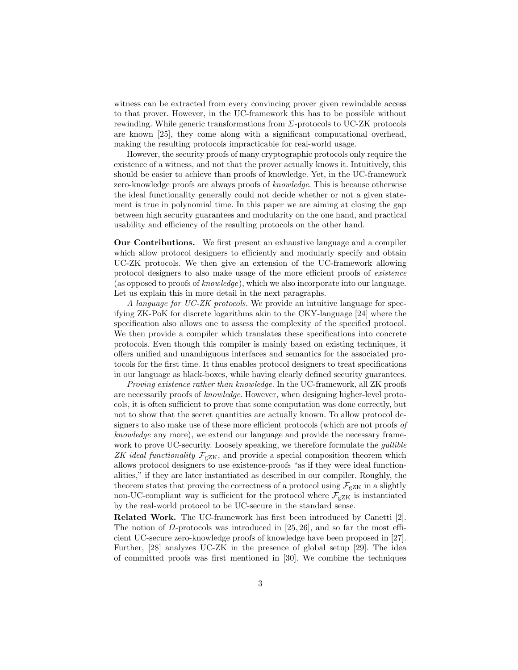witness can be extracted from every convincing prover given rewindable access to that prover. However, in the UC-framework this has to be possible without rewinding. While generic transformations from Σ-protocols to UC-ZK protocols are known [\[25\]](#page-16-3), they come along with a significant computational overhead, making the resulting protocols impracticable for real-world usage.

However, the security proofs of many cryptographic protocols only require the existence of a witness, and not that the prover actually knows it. Intuitively, this should be easier to achieve than proofs of knowledge. Yet, in the UC-framework zero-knowledge proofs are always proofs of knowledge. This is because otherwise the ideal functionality generally could not decide whether or not a given statement is true in polynomial time. In this paper we are aiming at closing the gap between high security guarantees and modularity on the one hand, and practical usability and efficiency of the resulting protocols on the other hand.

Our Contributions. We first present an exhaustive language and a compiler which allow protocol designers to efficiently and modularly specify and obtain UC-ZK protocols. We then give an extension of the UC-framework allowing protocol designers to also make usage of the more efficient proofs of existence (as opposed to proofs of knowledge), which we also incorporate into our language. Let us explain this in more detail in the next paragraphs.

A language for UC-ZK protocols. We provide an intuitive language for specifying ZK-PoK for discrete logarithms akin to the CKY-language [\[24\]](#page-16-2) where the specification also allows one to assess the complexity of the specified protocol. We then provide a compiler which translates these specifications into concrete protocols. Even though this compiler is mainly based on existing techniques, it offers unified and unambiguous interfaces and semantics for the associated protocols for the first time. It thus enables protocol designers to treat specifications in our language as black-boxes, while having clearly defined security guarantees.

Proving existence rather than knowledge. In the UC-framework, all ZK proofs are necessarily proofs of knowledge. However, when designing higher-level protocols, it is often sufficient to prove that some computation was done correctly, but not to show that the secret quantities are actually known. To allow protocol designers to also make use of these more efficient protocols (which are not proofs of knowledge any more), we extend our language and provide the necessary framework to prove UC-security. Loosely speaking, we therefore formulate the *gullible* ZK ideal functionality  $\mathcal{F}_{gZK}$ , and provide a special composition theorem which allows protocol designers to use existence-proofs "as if they were ideal functionalities," if they are later instantiated as described in our compiler. Roughly, the theorem states that proving the correctness of a protocol using  $\mathcal{F}_{gZK}$  in a slightly non-UC-compliant way is sufficient for the protocol where  $\mathcal{F}_{gZK}$  is instantiated by the real-world protocol to be UC-secure in the standard sense.

Related Work. The UC-framework has first been introduced by Canetti [\[2\]](#page-15-2). The notion of  $\Omega$ -protocols was introduced in [\[25,](#page-16-3) [26\]](#page-16-4), and so far the most efficient UC-secure zero-knowledge proofs of knowledge have been proposed in [\[27\]](#page-16-5). Further, [\[28\]](#page-16-6) analyzes UC-ZK in the presence of global setup [\[29\]](#page-16-7). The idea of committed proofs was first mentioned in [\[30\]](#page-16-8). We combine the techniques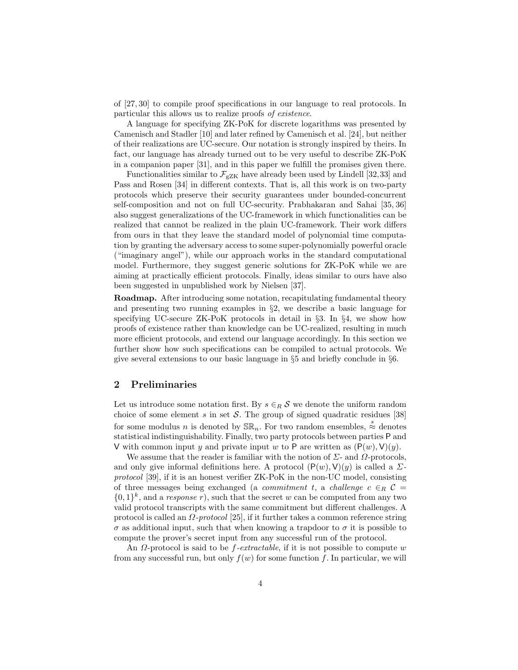of [\[27,](#page-16-5) [30\]](#page-16-8) to compile proof specifications in our language to real protocols. In particular this allows us to realize proofs of existence.

A language for specifying ZK-PoK for discrete logarithms was presented by Camenisch and Stadler [\[10\]](#page-15-9) and later refined by Camenisch et al. [\[24\]](#page-16-2), but neither of their realizations are UC-secure. Our notation is strongly inspired by theirs. In fact, our language has already turned out to be very useful to describe ZK-PoK in a companion paper [\[31\]](#page-16-9), and in this paper we fulfill the promises given there.

Functionalities similar to  $\mathcal{F}_{gZK}$  have already been used by Lindell [\[32,](#page-16-10)[33\]](#page-17-0) and Pass and Rosen [\[34\]](#page-17-1) in different contexts. That is, all this work is on two-party protocols which preserve their security guarantees under bounded-concurrent self-composition and not on full UC-security. Prabhakaran and Sahai [\[35,](#page-17-2) [36\]](#page-17-3) also suggest generalizations of the UC-framework in which functionalities can be realized that cannot be realized in the plain UC-framework. Their work differs from ours in that they leave the standard model of polynomial time computation by granting the adversary access to some super-polynomially powerful oracle ("imaginary angel"), while our approach works in the standard computational model. Furthermore, they suggest generic solutions for ZK-PoK while we are aiming at practically efficient protocols. Finally, ideas similar to ours have also been suggested in unpublished work by Nielsen [\[37\]](#page-17-4).

Roadmap. After introducing some notation, recapitulating fundamental theory and presenting two running examples in §[2,](#page-3-0) we describe a basic language for specifying UC-secure ZK-PoK protocols in detail in §[3.](#page-6-0) In §[4,](#page-8-0) we show how proofs of existence rather than knowledge can be UC-realized, resulting in much more efficient protocols, and extend our language accordingly. In this section we further show how such specifications can be compiled to actual protocols. We give several extensions to our basic language in §[5](#page-13-0) and briefly conclude in §[6.](#page-15-10)

## <span id="page-3-0"></span>2 Preliminaries

Let us introduce some notation first. By  $s \in_R S$  we denote the uniform random choice of some element  $s$  in set  $S$ . The group of signed quadratic residues [\[38\]](#page-17-5) for some modulus *n* is denoted by  $\mathbb{SR}_n$ . For two random ensembles,  $\stackrel{s}{\approx}$  denotes statistical indistinguishability. Finally, two party protocols between parties P and V with common input y and private input w to P are written as  $(P(w), V)(y)$ .

We assume that the reader is familiar with the notion of  $\Sigma$ - and  $\Omega$ -protocols, and only give informal definitions here. A protocol  $(P(w), V)(y)$  is called a  $\Sigma$ protocol [\[39\]](#page-17-6), if it is an honest verifier ZK-PoK in the non-UC model, consisting of three messages being exchanged (a *commitment t, a challenge c*  $\in_R$  C =  $\{0,1\}^k$ , and a *response* r), such that the secret w can be computed from any two valid protocol transcripts with the same commitment but different challenges. A protocol is called an  $\Omega$ -protocol [\[25\]](#page-16-3), if it further takes a common reference string  $\sigma$  as additional input, such that when knowing a trapdoor to  $\sigma$  it is possible to compute the prover's secret input from any successful run of the protocol.

An  $\Omega$ -protocol is said to be f-extractable, if it is not possible to compute w from any successful run, but only  $f(w)$  for some function f. In particular, we will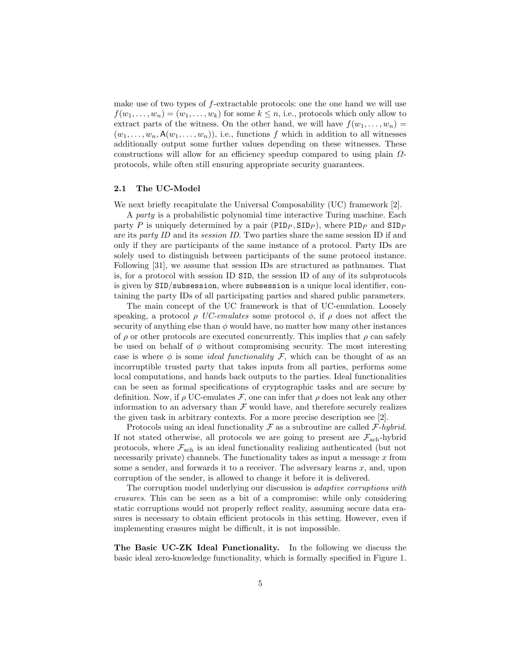make use of two types of f-extractable protocols: one the one hand we will use  $f(w_1, \ldots, w_n) = (w_1, \ldots, w_k)$  for some  $k \leq n$ , i.e., protocols which only allow to extract parts of the witness. On the other hand, we will have  $f(w_1, \ldots, w_n) =$  $(w_1, \ldots, w_n, \mathsf{A}(w_1, \ldots, w_n)),$  i.e., functions f which in addition to all witnesses additionally output some further values depending on these witnesses. These constructions will allow for an efficiency speedup compared to using plain Ωprotocols, while often still ensuring appropriate security guarantees.

#### <span id="page-4-0"></span>2.1 The UC-Model

We next briefly recapitulate the Universal Composability (UC) framework [\[2\]](#page-15-2).

A party is a probabilistic polynomial time interactive Turing machine. Each party P is uniquely determined by a pair  $(PID_P, SID_P)$ , where  $PID_P$  and  $SID_P$ are its party ID and its session ID. Two parties share the same session ID if and only if they are participants of the same instance of a protocol. Party IDs are solely used to distinguish between participants of the same protocol instance. Following [\[31\]](#page-16-9), we assume that session IDs are structured as pathnames. That is, for a protocol with session ID SID, the session ID of any of its subprotocols is given by SID/subsession, where subsession is a unique local identifier, containing the party IDs of all participating parties and shared public parameters.

The main concept of the UC framework is that of UC-emulation. Loosely speaking, a protocol  $\rho$  UC-emulates some protocol  $\phi$ , if  $\rho$  does not affect the security of anything else than  $\phi$  would have, no matter how many other instances of  $\rho$  or other protocols are executed concurrently. This implies that  $\rho$  can safely be used on behalf of  $\phi$  without compromising security. The most interesting case is where  $\phi$  is some *ideal functionality* F, which can be thought of as an incorruptible trusted party that takes inputs from all parties, performs some local computations, and hands back outputs to the parties. Ideal functionalities can be seen as formal specifications of cryptographic tasks and are secure by definition. Now, if  $\rho$  UC-emulates F, one can infer that  $\rho$  does not leak any other information to an adversary than  $\mathcal F$  would have, and therefore securely realizes the given task in arbitrary contexts. For a more precise description see [\[2\]](#page-15-2).

Protocols using an ideal functionality  $\mathcal F$  as a subroutine are called  $\mathcal F$ -hybrid. If not stated otherwise, all protocols we are going to present are  $\mathcal{F}_{\text{ach}}$ -hybrid protocols, where  $\mathcal{F}_{\text{ach}}$  is an ideal functionality realizing authenticated (but not necessarily private) channels. The functionality takes as input a message  $x$  from some a sender, and forwards it to a receiver. The adversary learns  $x$ , and, upon corruption of the sender, is allowed to change it before it is delivered.

The corruption model underlying our discussion is adaptive corruptions with erasures. This can be seen as a bit of a compromise: while only considering static corruptions would not properly reflect reality, assuming secure data erasures is necessary to obtain efficient protocols in this setting. However, even if implementing erasures might be difficult, it is not impossible.

The Basic UC-ZK Ideal Functionality. In the following we discuss the basic ideal zero-knowledge functionality, which is formally specified in Figure [1.](#page-5-0)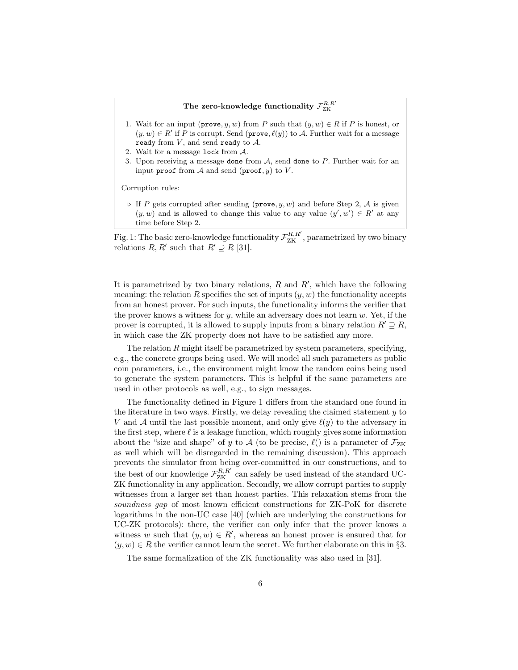## The zero-knowledge functionality  $\mathcal{F}^{R,R'}_{\mathrm{ZK}}$

- <span id="page-5-0"></span>1. Wait for an input (prove, y, w) from P such that  $(y, w) \in R$  if P is honest, or  $(y, w) \in R'$  if P is corrupt. Send (prove,  $\ell(y)$ ) to A. Further wait for a message ready from  $V$ , and send ready to  $A$ .
- 2. Wait for a message lock from A.
- 3. Upon receiving a message done from  $A$ , send done to  $P$ . Further wait for an input proof from  $A$  and send (proof,  $y$ ) to  $V$ .

Corruption rules:

 $\triangleright$  If P gets corrupted after sending (prove, y, w) and before Step 2, A is given  $(y, w)$  and is allowed to change this value to any value  $(y', w') \in R'$  at any time before Step 2.

Fig. 1: The basic zero-knowledge functionality  $\mathcal{F}_{\textrm{ZK}}^{R,R'},$  parametrized by two binary relations  $R, R'$  such that  $R' \supseteq R$  [\[31\]](#page-16-9).

It is parametrized by two binary relations,  $R$  and  $R'$ , which have the following meaning: the relation R specifies the set of inputs  $(y, w)$  the functionality accepts from an honest prover. For such inputs, the functionality informs the verifier that the prover knows a witness for  $y$ , while an adversary does not learn  $w$ . Yet, if the prover is corrupted, it is allowed to supply inputs from a binary relation  $R' \supseteq R$ , in which case the ZK property does not have to be satisfied any more.

The relation  $R$  might itself be parametrized by system parameters, specifying, e.g., the concrete groups being used. We will model all such parameters as public coin parameters, i.e., the environment might know the random coins being used to generate the system parameters. This is helpful if the same parameters are used in other protocols as well, e.g., to sign messages.

The functionality defined in Figure [1](#page-5-0) differs from the standard one found in the literature in two ways. Firstly, we delay revealing the claimed statement y to V and A until the last possible moment, and only give  $\ell(y)$  to the adversary in the first step, where  $\ell$  is a leakage function, which roughly gives some information about the "size and shape" of y to A (to be precise,  $\ell$ ) is a parameter of  $\mathcal{F}_{ZK}$ as well which will be disregarded in the remaining discussion). This approach prevents the simulator from being over-committed in our constructions, and to the best of our knowledge  $\mathcal{F}_{\text{ZK}}^{R,R'}$  can safely be used instead of the standard UC-ZK functionality in any application. Secondly, we allow corrupt parties to supply witnesses from a larger set than honest parties. This relaxation stems from the soundness gap of most known efficient constructions for ZK-PoK for discrete logarithms in the non-UC case [\[40\]](#page-17-7) (which are underlying the constructions for UC-ZK protocols): there, the verifier can only infer that the prover knows a witness w such that  $(y, w) \in R'$ , whereas an honest prover is ensured that for  $(y, w) \in R$  the verifier cannot learn the secret. We further elaborate on this in §[3.](#page-6-0)

The same formalization of the ZK functionality was also used in [\[31\]](#page-16-9).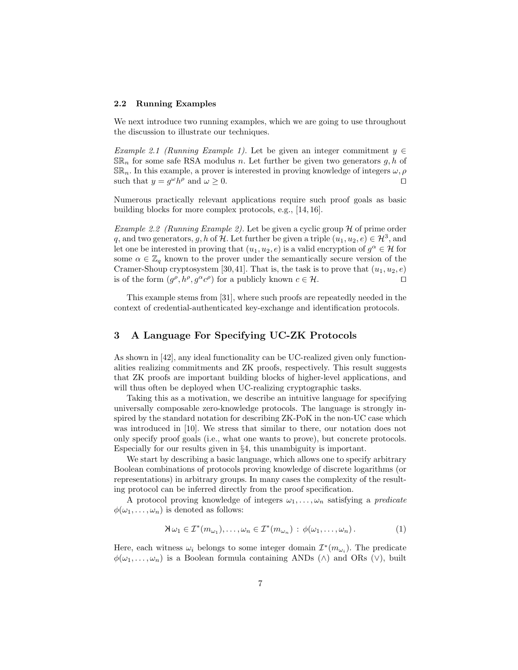#### 2.2 Running Examples

We next introduce two running examples, which we are going to use throughout the discussion to illustrate our techniques.

<span id="page-6-2"></span>Example 2.1 (Running Example 1). Let be given an integer commitment  $y \in$  $\mathbb{SR}_n$  for some safe RSA modulus n. Let further be given two generators g, h of  $\mathbb{SR}_n$ . In this example, a prover is interested in proving knowledge of integers  $\omega, \rho$ such that  $y = g^{\omega}h^{\rho}$  and  $\omega \ge 0$ .

Numerous practically relevant applications require such proof goals as basic building blocks for more complex protocols, e.g., [\[14,](#page-16-11) [16\]](#page-16-12).

<span id="page-6-3"></span>Example 2.2 (Running Example 2). Let be given a cyclic group  $H$  of prime order q, and two generators, g, h of H. Let further be given a triple  $(u_1, u_2, e) \in \mathcal{H}^3$ , and let one be interested in proving that  $(u_1, u_2, e)$  is a valid encryption of  $g^{\alpha} \in \mathcal{H}$  for some  $\alpha \in \mathbb{Z}_q$  known to the prover under the semantically secure version of the Cramer-Shoup cryptosystem [\[30,](#page-16-8)[41\]](#page-17-8). That is, the task is to prove that  $(u_1, u_2, e)$ is of the form  $(g^{\rho}, h^{\rho}, g^{\alpha}c^{\rho})$  for a publicly known  $c \in \mathcal{H}$ .

This example stems from [\[31\]](#page-16-9), where such proofs are repeatedly needed in the context of credential-authenticated key-exchange and identification protocols.

## <span id="page-6-0"></span>3 A Language For Specifying UC-ZK Protocols

As shown in [\[42\]](#page-17-9), any ideal functionality can be UC-realized given only functionalities realizing commitments and ZK proofs, respectively. This result suggests that ZK proofs are important building blocks of higher-level applications, and will thus often be deployed when UC-realizing cryptographic tasks.

Taking this as a motivation, we describe an intuitive language for specifying universally composable zero-knowledge protocols. The language is strongly inspired by the standard notation for describing ZK-PoK in the non-UC case which was introduced in [\[10\]](#page-15-9). We stress that similar to there, our notation does not only specify proof goals (i.e., what one wants to prove), but concrete protocols. Especially for our results given in §[4,](#page-8-0) this unambiguity is important.

We start by describing a basic language, which allows one to specify arbitrary Boolean combinations of protocols proving knowledge of discrete logarithms (or representations) in arbitrary groups. In many cases the complexity of the resulting protocol can be inferred directly from the proof specification.

A protocol proving knowledge of integers  $\omega_1, \ldots, \omega_n$  satisfying a *predicate*  $\phi(\omega_1, \ldots, \omega_n)$  is denoted as follows:

<span id="page-6-1"></span>
$$
\mathcal{H}\omega_1 \in \mathcal{I}^*(m_{\omega_1}), \dots, \omega_n \in \mathcal{I}^*(m_{\omega_n}) : \phi(\omega_1, \dots, \omega_n).
$$
 (1)

Here, each witness  $\omega_i$  belongs to some integer domain  $\mathcal{I}^*(m_{\omega_i})$ . The predicate  $\phi(\omega_1, \ldots, \omega_n)$  is a Boolean formula containing ANDs ( $\land$ ) and ORs ( $\lor$ ), built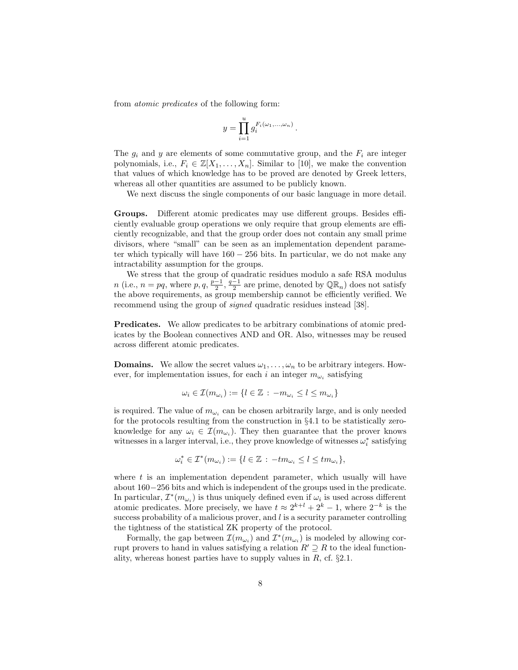from *atomic predicates* of the following form:

$$
y = \prod_{i=1}^{u} g_i^{F_i(\omega_1, \dots, \omega_n)}.
$$

The  $g_i$  and y are elements of some commutative group, and the  $F_i$  are integer polynomials, i.e.,  $F_i \in \mathbb{Z}[X_1,\ldots,X_n]$ . Similar to [\[10\]](#page-15-9), we make the convention that values of which knowledge has to be proved are denoted by Greek letters, whereas all other quantities are assumed to be publicly known.

We next discuss the single components of our basic language in more detail.

Groups. Different atomic predicates may use different groups. Besides efficiently evaluable group operations we only require that group elements are efficiently recognizable, and that the group order does not contain any small prime divisors, where "small" can be seen as an implementation dependent parameter which typically will have  $160 - 256$  bits. In particular, we do not make any intractability assumption for the groups.

We stress that the group of quadratic residues modulo a safe RSA modulus n (i.e.,  $n = pq$ , where  $p, q, \frac{p-1}{2}, \frac{q-1}{2}$  are prime, denoted by  $\mathbb{QR}_n$ ) does not satisfy the above requirements, as group membership cannot be efficiently verified. We recommend using the group of signed quadratic residues instead [\[38\]](#page-17-5).

Predicates. We allow predicates to be arbitrary combinations of atomic predicates by the Boolean connectives AND and OR. Also, witnesses may be reused across different atomic predicates.

**Domains.** We allow the secret values  $\omega_1, \ldots, \omega_n$  to be arbitrary integers. However, for implementation issues, for each i an integer  $m_{\omega_i}$  satisfying

$$
\omega_i \in \mathcal{I}(m_{\omega_i}) := \{l \in \mathbb{Z} \,:\, -m_{\omega_i} \le l \le m_{\omega_i}\}
$$

is required. The value of  $m_{\omega_i}$  can be chosen arbitrarily large, and is only needed for the protocols resulting from the construction in §[4.1](#page-9-0) to be statistically zeroknowledge for any  $\omega_i \in \mathcal{I}(m_{\omega_i})$ . They then guarantee that the prover knows witnesses in a larger interval, i.e., they prove knowledge of witnesses  $\omega_i^*$  satisfying

$$
\omega_i^* \in \mathcal{I}^*(m_{\omega_i}) := \{l \in \mathbb{Z} \,:\, -tm_{\omega_i} \leq l \leq tm_{\omega_i}\},
$$

where  $t$  is an implementation dependent parameter, which usually will have about 160−256 bits and which is independent of the groups used in the predicate. In particular,  $\mathcal{I}^*(m_{\omega_i})$  is thus uniquely defined even if  $\omega_i$  is used across different atomic predicates. More precisely, we have  $t \approx 2^{k+l} + 2^k - 1$ , where  $2^{-k}$  is the success probability of a malicious prover, and  $l$  is a security parameter controlling the tightness of the statistical ZK property of the protocol.

Formally, the gap between  $\mathcal{I}(m_{\omega_i})$  and  $\mathcal{I}^*(m_{\omega_i})$  is modeled by allowing corrupt provers to hand in values satisfying a relation  $R' \supseteq R$  to the ideal functionality, whereas honest parties have to supply values in  $R$ , cf.  $\S 2.1$ .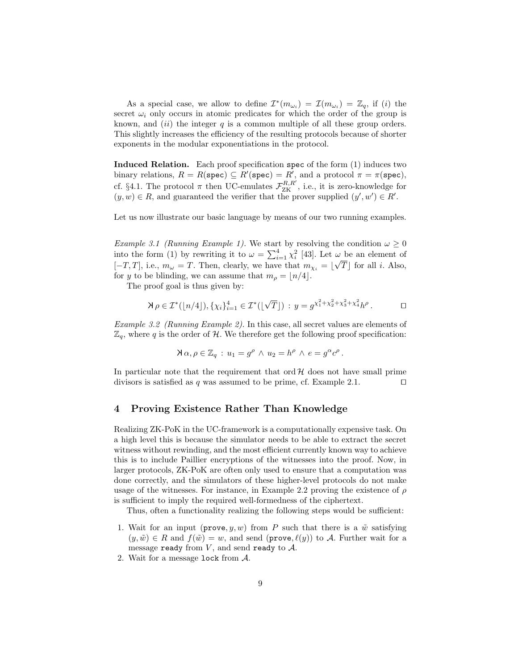As a special case, we allow to define  $\mathcal{I}^*(m_{\omega_i}) = \mathcal{I}(m_{\omega_i}) = \mathbb{Z}_q$ , if (i) the secret  $\omega_i$  only occurs in atomic predicates for which the order of the group is known, and *(ii)* the integer q is a common multiple of all these group orders. This slightly increases the efficiency of the resulting protocols because of shorter exponents in the modular exponentiations in the protocol.

Induced Relation. Each proof specification spec of the form [\(1\)](#page-6-1) induces two binary relations,  $R = R(\text{spec}) \subseteq R'(\text{spec}) = R'$ , and a protocol  $\pi = \pi(\text{spec})$ , cf. §[4.1.](#page-9-0) The protocol  $\pi$  then UC-emulates  $\mathcal{F}_{\text{ZK}}^{R,R'}$ , i.e., it is zero-knowledge for  $(y, w) \in R$ , and guaranteed the verifier that the prover supplied  $(y', w') \in R'$ .

<span id="page-8-1"></span>Let us now illustrate our basic language by means of our two running examples.

Example 3.1 (Running Example 1). We start by resolving the condition  $\omega \geq 0$ into the form [\(1\)](#page-6-1) by rewriting it to  $\omega = \sum_{i=1}^{4} \chi_i^2$  [\[43\]](#page-17-10). Let  $\omega$  be an element of  $[-T, T]$ , i.e.,  $m_{\omega} = T$ . Then, clearly, we have that  $m_{\chi_i} = [\sqrt{T}]$  for all i. Also, for y to be blinding, we can assume that  $m_{\rho} = |n/4|$ .

The proof goal is thus given by:

$$
\forall \rho \in \mathcal{I}^*([\eta/4]), \{\chi_i\}_{i=1}^4 \in \mathcal{I}^*([\sqrt{T}]) : y = g^{\chi_1^2 + \chi_2^2 + \chi_3^2 + \chi_4^2} h^{\rho}.
$$

Example 3.2 (Running Example 2). In this case, all secret values are elements of  $\mathbb{Z}_q$ , where q is the order of H. We therefore get the following proof specification:

$$
\forall \alpha, \rho \in \mathbb{Z}_q : u_1 = g^{\rho} \wedge u_2 = h^{\rho} \wedge e = g^{\alpha} c^{\rho}.
$$

In particular note that the requirement that ord  $H$  does not have small prime divisors is satisfied as q was assumed to be prime, cf. Example [2.1.](#page-6-2)  $\Box$ 

#### <span id="page-8-0"></span>4 Proving Existence Rather Than Knowledge

Realizing ZK-PoK in the UC-framework is a computationally expensive task. On a high level this is because the simulator needs to be able to extract the secret witness without rewinding, and the most efficient currently known way to achieve this is to include Paillier encryptions of the witnesses into the proof. Now, in larger protocols, ZK-PoK are often only used to ensure that a computation was done correctly, and the simulators of these higher-level protocols do not make usage of the witnesses. For instance, in Example [2.2](#page-6-3) proving the existence of  $\rho$ is sufficient to imply the required well-formedness of the ciphertext.

Thus, often a functionality realizing the following steps would be sufficient:

- 1. Wait for an input (prove, y, w) from P such that there is a  $\tilde{w}$  satisfying  $(y, \tilde{w}) \in R$  and  $f(\tilde{w}) = w$ , and send (prove,  $\ell(y)$ ) to A. Further wait for a message ready from  $V$ , and send ready to  $A$ .
- 2. Wait for a message lock from A.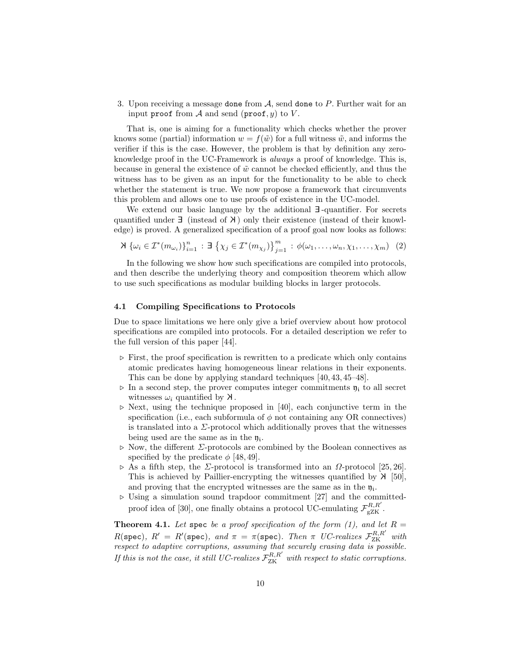3. Upon receiving a message done from  $A$ , send done to  $P$ . Further wait for an input proof from A and send (proof,  $y$ ) to V.

That is, one is aiming for a functionality which checks whether the prover knows some (partial) information  $w = f(\tilde{w})$  for a full witness  $\tilde{w}$ , and informs the verifier if this is the case. However, the problem is that by definition any zeroknowledge proof in the UC-Framework is always a proof of knowledge. This is, because in general the existence of  $\tilde{w}$  cannot be checked efficiently, and thus the witness has to be given as an input for the functionality to be able to check whether the statement is true. We now propose a framework that circumvents this problem and allows one to use proofs of existence in the UC-model.

We extend our basic language by the additional  $\exists$ -quantifier. For secrets quantified under  $\exists$  (instead of  $\lambda$ ) only their existence (instead of their knowledge) is proved. A generalized specification of a proof goal now looks as follows:

<span id="page-9-1"></span>
$$
\lambda \left\{ \omega_i \in \mathcal{I}^*(m_{\omega_i}) \right\}_{i=1}^n : \exists \left\{ \chi_j \in \mathcal{I}^*(m_{\chi_j}) \right\}_{j=1}^m : \phi(\omega_1, \dots, \omega_n, \chi_1, \dots, \chi_m) \tag{2}
$$

In the following we show how such specifications are compiled into protocols, and then describe the underlying theory and composition theorem which allow to use such specifications as modular building blocks in larger protocols.

#### <span id="page-9-0"></span>4.1 Compiling Specifications to Protocols

Due to space limitations we here only give a brief overview about how protocol specifications are compiled into protocols. For a detailed description we refer to the full version of this paper [\[44\]](#page-17-11).

- $\triangleright$  First, the proof specification is rewritten to a predicate which only contains atomic predicates having homogeneous linear relations in their exponents. This can be done by applying standard techniques [\[40,](#page-17-7) [43,](#page-17-10) [45–](#page-17-12)[48\]](#page-17-13).
- $\triangleright$  In a second step, the prover computes integer commitments  $\mathfrak{y}_i$  to all secret witnesses  $\omega_i$  quantified by  $\lambda$ .
- $\triangleright$  Next, using the technique proposed in [\[40\]](#page-17-7), each conjunctive term in the specification (i.e., each subformula of  $\phi$  not containing any OR connectives) is translated into a  $\Sigma$ -protocol which additionally proves that the witnesses being used are the same as in the  $\mathfrak{y}_i$ .
- $\triangleright$  Now, the different  $\Sigma$ -protocols are combined by the Boolean connectives as specified by the predicate  $\phi$  [\[48,](#page-17-13) [49\]](#page-17-14).
- $\triangleright$  As a fifth step, the *Σ*-protocol is transformed into an  $\Omega$ -protocol [\[25,](#page-16-3) [26\]](#page-16-4). This is achieved by Paillier-encrypting the witnesses quantified by  $\lambda$  [\[50\]](#page-17-15), and proving that the encrypted witnesses are the same as in the  $\mathfrak{y}_i$ .
- $\triangleright$  Using a simulation sound trapdoor commitment [\[27\]](#page-16-5) and the committed-proof idea of [\[30\]](#page-16-8), one finally obtains a protocol UC-emulating  $\mathcal{F}_{gZK}^{R,R'}$ .

<span id="page-9-2"></span>**Theorem 4.1.** Let spec be a proof specification of the form [\(1\)](#page-6-1), and let  $R =$  $R(\text{spec}), R' = R'(\text{spec}), and \pi = \pi(\text{spec}).$  Then  $\pi$  UC-realizes  $\mathcal{F}_{\text{ZK}}^{R,R'}$  with respect to adaptive corruptions, assuming that securely erasing data is possible. If this is not the case, it still UC-realizes  $\mathcal{F}_{\text{ZK}}^{R,R'}$  with respect to static corruptions.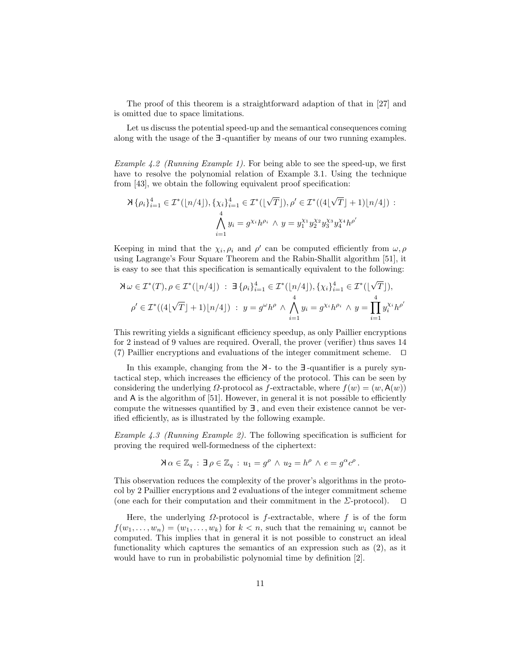The proof of this theorem is a straightforward adaption of that in [\[27\]](#page-16-5) and is omitted due to space limitations.

Let us discuss the potential speed-up and the semantical consequences coming along with the usage of the  $\exists$ -quantifier by means of our two running examples.

Example 4.2 (Running Example 1). For being able to see the speed-up, we first have to resolve the polynomial relation of Example [3.1.](#page-8-1) Using the technique from [\[43\]](#page-17-10), we obtain the following equivalent proof specification:

$$
\mathcal{A}\{\rho_i\}_{i=1}^4 \in \mathcal{I}^*([\n\eta/4]), \{\chi_i\}_{i=1}^4 \in \mathcal{I}^*([\n\sqrt{T}]), \rho' \in \mathcal{I}^*((4\lfloor \sqrt{T} \rfloor + 1)\lfloor n/4 \rfloor) : \newline \bigwedge_{i=1}^4 y_i = g^{\chi_i} h^{\rho_i} \land y = y_1^{\chi_1} y_2^{\chi_2} y_3^{\chi_3} y_4^{\chi_4} h^{\rho'}
$$

Keeping in mind that the  $\chi_i, \rho_i$  and  $\rho'$  can be computed efficiently from  $\omega, \rho$ using Lagrange's Four Square Theorem and the Rabin-Shallit algorithm [\[51\]](#page-17-16), it is easy to see that this specification is semantically equivalent to the following:

$$
\mathcal{H} \omega \in \mathcal{I}^*(T), \rho \in \mathcal{I}^*([n/4]) : \exists \{\rho_i\}_{i=1}^4 \in \mathcal{I}^*([n/4]), \{\chi_i\}_{i=1}^4 \in \mathcal{I}^*([\sqrt{T}]),
$$
  

$$
\rho' \in \mathcal{I}^*((4\lfloor \sqrt{T} \rfloor + 1)\lfloor n/4 \rfloor) : y = g^{\omega}h^{\rho} \wedge \bigwedge_{i=1}^4 y_i = g^{\chi_i}h^{\rho_i} \wedge y = \prod_{i=1}^4 y_i^{\chi_i}h^{\rho'}
$$

This rewriting yields a significant efficiency speedup, as only Paillier encryptions for 2 instead of 9 values are required. Overall, the prover (verifier) thus saves 14 (7) Paillier encryptions and evaluations of the integer commitment scheme.  $\square$ 

In this example, changing from the  $\lambda$ - to the  $\exists$ -quantifier is a purely syntactical step, which increases the efficiency of the protocol. This can be seen by considering the underlying  $\Omega$ -protocol as f-extractable, where  $f(w) = (w, \mathsf{A}(w))$ and A is the algorithm of [\[51\]](#page-17-16). However, in general it is not possible to efficiently compute the witnesses quantified by  $\exists$ , and even their existence cannot be verified efficiently, as is illustrated by the following example.

Example 4.3 (Running Example 2). The following specification is sufficient for proving the required well-formedness of the ciphertext:

$$
\forall \alpha \in \mathbb{Z}_q : \exists \rho \in \mathbb{Z}_q : u_1 = g^{\rho} \wedge u_2 = h^{\rho} \wedge e = g^{\alpha} c^{\rho}.
$$

This observation reduces the complexity of the prover's algorithms in the protocol by 2 Paillier encryptions and 2 evaluations of the integer commitment scheme (one each for their computation and their commitment in the  $\Sigma$ -protocol).  $\square$ 

Here, the underlying  $\Omega$ -protocol is f-extractable, where f is of the form  $f(w_1, \ldots, w_n) = (w_1, \ldots, w_k)$  for  $k < n$ , such that the remaining  $w_i$  cannot be computed. This implies that in general it is not possible to construct an ideal functionality which captures the semantics of an expression such as [\(2\)](#page-9-1), as it would have to run in probabilistic polynomial time by definition [\[2\]](#page-15-2).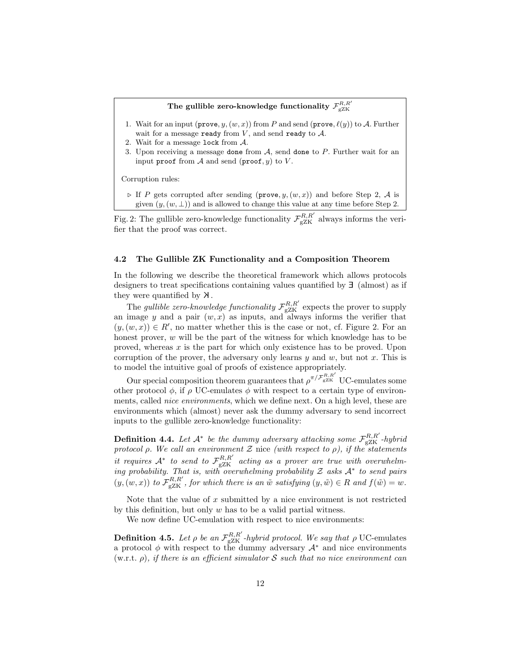The gullible zero-knowledge functionality  $\mathcal{F}^{R,R'}_{\mathrm{gZK}}$ 

- <span id="page-11-0"></span>1. Wait for an input (prove,  $y, (w, x)$ ) from P and send (prove,  $\ell(y)$ ) to A. Further wait for a message ready from  $V$ , and send ready to  $A$ .
- 2. Wait for a message lock from A.
- 3. Upon receiving a message done from  $A$ , send done to  $P$ . Further wait for an input proof from  $A$  and send (proof,  $y$ ) to  $V$ .

Corruption rules:

 $\triangleright$  If P gets corrupted after sending (prove,  $y, (w, x)$ ) and before Step 2, A is given  $(y,(w, \perp))$  and is allowed to change this value at any time before Step 2.

Fig. 2: The gullible zero-knowledge functionality  $\mathcal{F}_{gZK}^{R,R'}$  always informs the verifier that the proof was correct.

### 4.2 The Gullible ZK Functionality and a Composition Theorem

In the following we describe the theoretical framework which allows protocols designers to treat specifications containing values quantified by  $\exists$  (almost) as if they were quantified by  $\lambda$ .

The *gullible zero-knowledge functionality*  $\mathcal{F}_{\rm gZK}^{R,R'}$  expects the prover to supply an image y and a pair  $(w, x)$  as inputs, and always informs the verifier that  $(y,(w,x)) \in R'$ , no matter whether this is the case or not, cf. Figure [2.](#page-11-0) For an honest prover, w will be the part of the witness for which knowledge has to be proved, whereas  $x$  is the part for which only existence has to be proved. Upon corruption of the prover, the adversary only learns  $y$  and  $w$ , but not  $x$ . This is to model the intuitive goal of proofs of existence appropriately.

Our special composition theorem guarantees that  $\rho^{\pi/\mathcal{F}_{\rm gZK}^{R,R'}}$  UC-emulates some other protocol  $\phi$ , if  $\rho$  UC-emulates  $\phi$  with respect to a certain type of environments, called *nice environments*, which we define next. On a high level, these are environments which (almost) never ask the dummy adversary to send incorrect inputs to the gullible zero-knowledge functionality:

**Definition 4.4.** Let  $\mathcal{A}^*$  be the dummy adversary attacking some  $\mathcal{F}^{R,R'}_{\rm gZK}$ -hybrid protocol  $\rho$ . We call an environment  $\mathcal Z$  nice (with respect to  $\rho$ ), if the statements it requires  $\mathcal{A}^*$  to send to  $\mathcal{F}_{\rm gZK}^{R,R'}$  acting as a prover are true with overwhelming probability. That is, with overwhelming probability  $\mathcal Z$  asks  $\mathcal A^*$  to send pairs  $(y,(w,x))$  to  $\mathcal{F}^{R,R'}_{\mathrm{gZK}}$ , for which there is an  $\tilde{w}$  satisfying  $(y,\tilde{w}) \in R$  and  $f(\tilde{w}) = w$ .

Note that the value of  $x$  submitted by a nice environment is not restricted by this definition, but only  $w$  has to be a valid partial witness.

We now define UC-emulation with respect to nice environments:

**Definition 4.5.** Let  $\rho$  be an  $\mathcal{F}_{\text{gZK}}^{R,R'}$ -hybrid protocol. We say that  $\rho$  UC-emulates a protocol  $\phi$  with respect to the dummy adversary  $\mathcal{A}^*$  and nice environments  $(w.r.t. \rho)$ , if there is an efficient simulator S such that no nice environment can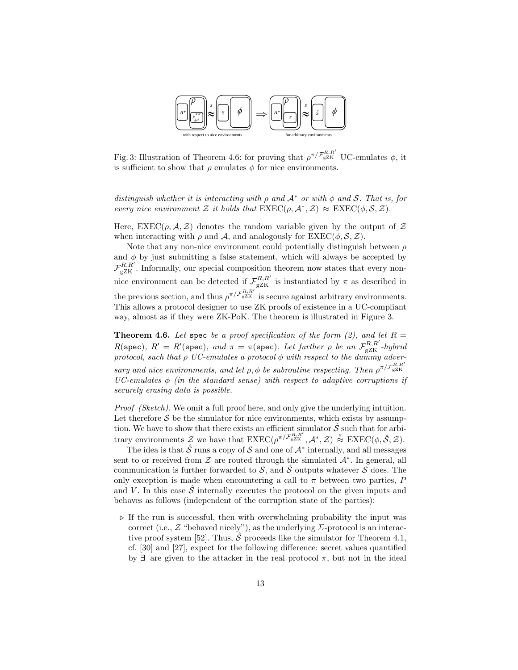<span id="page-12-1"></span>

Fig. 3: Illustration of Theorem [4.6:](#page-12-0) for proving that  $\rho^{\pi/\mathcal{F}_{\rm gZK}^{R,R'}}$  UC-emulates  $\phi$ , it is sufficient to show that  $\rho$  emulates  $\phi$  for nice environments.

distinguish whether it is interacting with  $\rho$  and  $A^*$  or with  $\phi$  and S. That is, for every nice environment Z it holds that  $\text{EXEC}(\rho, \mathcal{A}^*, \mathcal{Z}) \approx \text{EXEC}(\phi, \mathcal{S}, \mathcal{Z})$ .

Here,  $\text{EXEC}(\rho, \mathcal{A}, \mathcal{Z})$  denotes the random variable given by the output of  $\mathcal Z$ when interacting with  $\rho$  and  $A$ , and analogously for  $\text{EXEC}(\phi, \mathcal{S}, \mathcal{Z})$ .

Note that any non-nice environment could potentially distinguish between  $\rho$ and  $\phi$  by just submitting a false statement, which will always be accepted by  $\mathcal{F}_{\rm gZK}^{R,R'}$ . Informally, our special composition theorem now states that every nonnice environment can be detected if  $\mathcal{F}_{gZK}^{R,R'}$  is instantiated by  $\pi$  as described in the previous section, and thus  $\rho^{\pi/\mathcal{F}_{\rm gZK}^{R,R'}}$  is secure against arbitrary environments. This allows a protocol designer to use ZK proofs of existence in a UC-compliant way, almost as if they were ZK-PoK. The theorem is illustrated in Figure [3.](#page-12-1)

<span id="page-12-0"></span>**Theorem 4.6.** Let spec be a proof specification of the form [\(2\)](#page-9-1), and let  $R =$  $R(\text{spec}), R' = R'(\text{spec}), \text{ and } \pi = \pi(\text{spec}).$  Let further  $\rho$  be an  $\mathcal{F}_{\text{gZK}}^{R,R'}$ -hybrid protocol, such that  $\rho$  UC-emulates a protocol  $\phi$  with respect to the dummy adversary and nice environments, and let  $\rho, \phi$  be subroutine respecting. Then  $\rho^{\pi/\mathcal{F}_{\rm gZK}^{R,R'}}$ UC-emulates  $\phi$  (in the standard sense) with respect to adaptive corruptions if securely erasing data is possible.

Proof (Sketch). We omit a full proof here, and only give the underlying intuition. Let therefore  $S$  be the simulator for nice environments, which exists by assumption. We have to show that there exists an efficient simulator  $\hat{\mathcal{S}}$  such that for arbitrary environments Z we have that  $\text{EXEC}(\rho^{\pi/\mathcal{F}_{\text{gZK}}^{R,R'}}, \mathcal{A}^*, \mathcal{Z}) \stackrel{\text{s}}{\approx} \text{EXEC}(\phi, \hat{S}, \mathcal{Z}).$ 

The idea is that  $\hat{\mathcal{S}}$  runs a copy of  $\mathcal{S}$  and one of  $\mathcal{A}^*$  internally, and all messages sent to or received from  $\mathcal Z$  are routed through the simulated  $\mathcal A^*$ . In general, all communication is further forwarded to  $S$ , and  $\hat{S}$  outputs whatever  $S$  does. The only exception is made when encountering a call to  $\pi$  between two parties, P and V. In this case  $\hat{\mathcal{S}}$  internally executes the protocol on the given inputs and behaves as follows (independent of the corruption state of the parties):

 $\triangleright$  If the run is successful, then with overwhelming probability the input was correct (i.e.,  $\mathcal Z$  "behaved nicely"), as the underlying  $\Sigma$ -protocol is an interac-tive proof system [\[52\]](#page-17-17). Thus,  $\hat{\mathcal{S}}$  proceeds like the simulator for Theorem [4.1,](#page-9-2) cf. [\[30\]](#page-16-8) and [\[27\]](#page-16-5), expect for the following difference: secret values quantified by  $\exists$  are given to the attacker in the real protocol  $\pi$ , but not in the ideal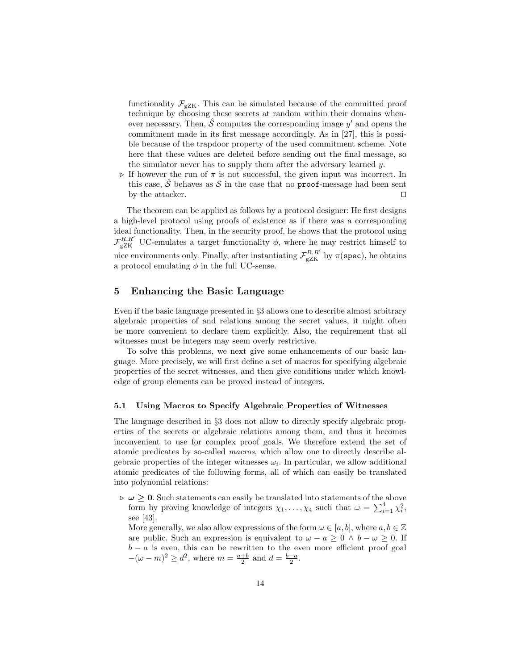functionality  $\mathcal{F}_{gZK}$ . This can be simulated because of the committed proof technique by choosing these secrets at random within their domains whenever necessary. Then,  $\hat{\mathcal{S}}$  computes the corresponding image y' and opens the commitment made in its first message accordingly. As in [\[27\]](#page-16-5), this is possible because of the trapdoor property of the used commitment scheme. Note here that these values are deleted before sending out the final message, so the simulator never has to supply them after the adversary learned  $y$ .

 $\triangleright$  If however the run of  $\pi$  is not successful, the given input was incorrect. In this case,  $\hat{S}$  behaves as  $S$  in the case that no proof-message had been sent by the attacker.  $\hfill\Box$ 

The theorem can be applied as follows by a protocol designer: He first designs a high-level protocol using proofs of existence as if there was a corresponding ideal functionality. Then, in the security proof, he shows that the protocol using  $\mathcal{F}_{\rm gZK}^{R,R'}$  UC-emulates a target functionality  $\phi$ , where he may restrict himself to nice environments only. Finally, after instantiating  $\mathcal{F}^{R,R'}_{\rm gZK}$  by  $\pi(\texttt{spec})$ , he obtains a protocol emulating  $\phi$  in the full UC-sense.

## <span id="page-13-0"></span>5 Enhancing the Basic Language

Even if the basic language presented in §[3](#page-6-0) allows one to describe almost arbitrary algebraic properties of and relations among the secret values, it might often be more convenient to declare them explicitly. Also, the requirement that all witnesses must be integers may seem overly restrictive.

To solve this problems, we next give some enhancements of our basic language. More precisely, we will first define a set of macros for specifying algebraic properties of the secret witnesses, and then give conditions under which knowledge of group elements can be proved instead of integers.

#### 5.1 Using Macros to Specify Algebraic Properties of Witnesses

The language described in §[3](#page-6-0) does not allow to directly specify algebraic properties of the secrets or algebraic relations among them, and thus it becomes inconvenient to use for complex proof goals. We therefore extend the set of atomic predicates by so-called macros, which allow one to directly describe algebraic properties of the integer witnesses  $\omega_i$ . In particular, we allow additional atomic predicates of the following forms, all of which can easily be translated into polynomial relations:

 $\triangleright \omega \geq 0$ . Such statements can easily be translated into statements of the above form by proving knowledge of integers  $\chi_1, \ldots, \chi_4$  such that  $\omega = \sum_{i=1}^4 \chi_i^2$ , see [\[43\]](#page-17-10).

More generally, we also allow expressions of the form  $\omega \in [a, b]$ , where  $a, b \in \mathbb{Z}$ are public. Such an expression is equivalent to  $\omega - a > 0 \wedge b - \omega > 0$ . If  $b - a$  is even, this can be rewritten to the even more efficient proof goal  $-(\omega - m)^2 \ge d^2$ , where  $m = \frac{a+b}{2}$  and  $d = \frac{b-a}{2}$ .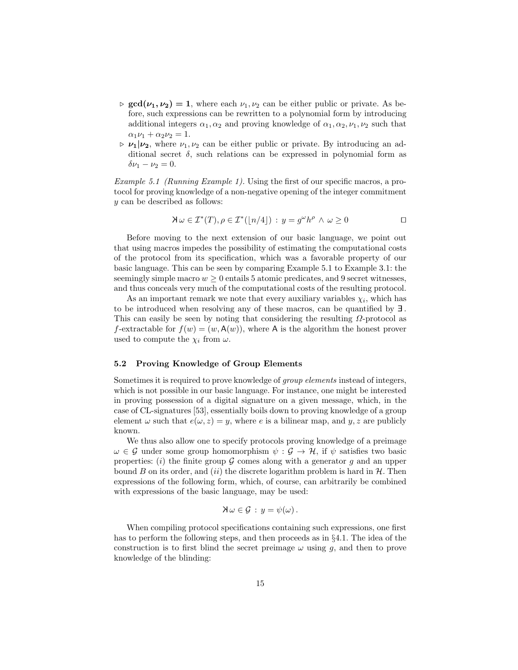- $\triangleright \text{gcd}(\nu_1, \nu_2) = 1$ , where each  $\nu_1, \nu_2$  can be either public or private. As before, such expressions can be rewritten to a polynomial form by introducing additional integers  $\alpha_1, \alpha_2$  and proving knowledge of  $\alpha_1, \alpha_2, \nu_1, \nu_2$  such that  $\alpha_1 \nu_1 + \alpha_2 \nu_2 = 1.$
- $\nu_1|\nu_2$ , where  $\nu_1, \nu_2$  can be either public or private. By introducing an additional secret  $\delta$ , such relations can be expressed in polynomial form as  $δ\nu_1 - \nu_2 = 0.$

<span id="page-14-0"></span>Example 5.1 (Running Example 1). Using the first of our specific macros, a protocol for proving knowledge of a non-negative opening of the integer commitment y can be described as follows:

$$
\lambda \omega \in \mathcal{I}^*(T), \rho \in \mathcal{I}^*([n/4]) : y = g^{\omega} h^{\rho} \wedge \omega \ge 0
$$

Before moving to the next extension of our basic language, we point out that using macros impedes the possibility of estimating the computational costs of the protocol from its specification, which was a favorable property of our basic language. This can be seen by comparing Example [5.1](#page-14-0) to Example [3.1:](#page-8-1) the seemingly simple macro  $w \geq 0$  entails 5 atomic predicates, and 9 secret witnesses, and thus conceals very much of the computational costs of the resulting protocol.

As an important remark we note that every auxiliary variables  $\chi_i$ , which has to be introduced when resolving any of these macros, can be quantified by  $\exists$ . This can easily be seen by noting that considering the resulting  $\Omega$ -protocol as f-extractable for  $f(w) = (w, A(w))$ , where A is the algorithm the honest prover used to compute the  $\chi_i$  from  $\omega$ .

#### 5.2 Proving Knowledge of Group Elements

Sometimes it is required to prove knowledge of group elements instead of integers, which is not possible in our basic language. For instance, one might be interested in proving possession of a digital signature on a given message, which, in the case of CL-signatures [\[53\]](#page-17-18), essentially boils down to proving knowledge of a group element  $\omega$  such that  $e(\omega, z) = y$ , where e is a bilinear map, and y, z are publicly known.

We thus also allow one to specify protocols proving knowledge of a preimage  $\omega \in \mathcal{G}$  under some group homomorphism  $\psi : \mathcal{G} \to \mathcal{H}$ , if  $\psi$  satisfies two basic properties: (i) the finite group  $\mathcal G$  comes along with a generator g and an upper bound B on its order, and  $(ii)$  the discrete logarithm problem is hard in H. Then expressions of the following form, which, of course, can arbitrarily be combined with expressions of the basic language, may be used:

$$
\mathsf{H}\,\omega\in\mathcal{G} \,:\, y=\psi(\omega)\,.
$$

When compiling protocol specifications containing such expressions, one first has to perform the following steps, and then proceeds as in §[4.1.](#page-9-0) The idea of the construction is to first blind the secret preimage  $\omega$  using g, and then to prove knowledge of the blinding: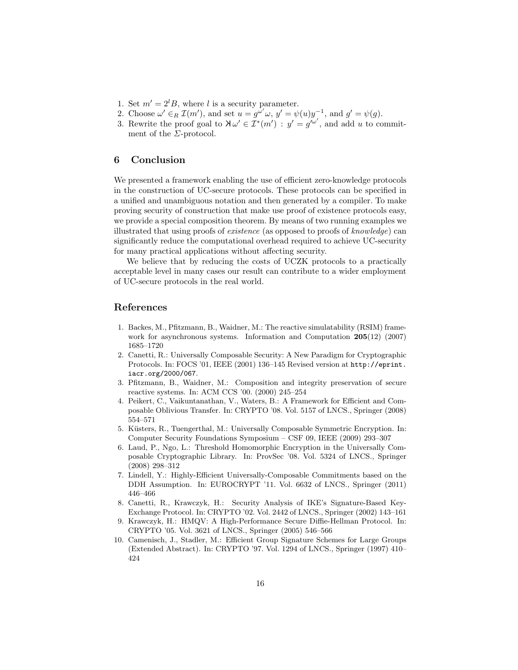- 1. Set  $m' = 2^l B$ , where l is a security parameter.
- 2. Choose  $\omega' \in_R \mathcal{I}(m')$ , and set  $u = g^{\omega'}\omega$ ,  $y' = \psi(u)y^{-1}$ , and  $g' = \psi(g)$ .
- 3. Rewrite the proof goal to  $\lambda \omega' \in \mathcal{I}^*(m')$ :  $y' = g'^{\omega'}$ , and add u to commitment of the  $\Sigma$ -protocol.

## <span id="page-15-10"></span>6 Conclusion

We presented a framework enabling the use of efficient zero-knowledge protocols in the construction of UC-secure protocols. These protocols can be specified in a unified and unambiguous notation and then generated by a compiler. To make proving security of construction that make use proof of existence protocols easy, we provide a special composition theorem. By means of two running examples we illustrated that using proofs of existence (as opposed to proofs of knowledge) can significantly reduce the computational overhead required to achieve UC-security for many practical applications without affecting security.

We believe that by reducing the costs of UCZK protocols to a practically acceptable level in many cases our result can contribute to a wider employment of UC-secure protocols in the real world.

## References

- <span id="page-15-0"></span>1. Backes, M., Pfitzmann, B., Waidner, M.: The reactive simulatability (RSIM) framework for asynchronous systems. Information and Computation 205(12) (2007) 1685–1720
- <span id="page-15-2"></span>2. Canetti, R.: Universally Composable Security: A New Paradigm for Cryptographic Protocols. In: FOCS '01, IEEE (2001) 136–145 Revised version at [http://eprint.](http://eprint.iacr.org/2000/067) [iacr.org/2000/067](http://eprint.iacr.org/2000/067).
- <span id="page-15-1"></span>3. Pfitzmann, B., Waidner, M.: Composition and integrity preservation of secure reactive systems. In: ACM CCS '00. (2000) 245–254
- <span id="page-15-3"></span>4. Peikert, C., Vaikuntanathan, V., Waters, B.: A Framework for Efficient and Composable Oblivious Transfer. In: CRYPTO '08. Vol. 5157 of LNCS., Springer (2008) 554–571
- <span id="page-15-4"></span>5. Küsters, R., Tuengerthal, M.: Universally Composable Symmetric Encryption. In: Computer Security Foundations Symposium – CSF 09, IEEE (2009) 293–307
- <span id="page-15-5"></span>6. Laud, P., Ngo, L.: Threshold Homomorphic Encryption in the Universally Composable Cryptographic Library. In: ProvSec '08. Vol. 5324 of LNCS., Springer (2008) 298–312
- <span id="page-15-6"></span>7. Lindell, Y.: Highly-Efficient Universally-Composable Commitments based on the DDH Assumption. In: EUROCRYPT '11. Vol. 6632 of LNCS., Springer (2011) 446–466
- <span id="page-15-7"></span>8. Canetti, R., Krawczyk, H.: Security Analysis of IKE's Signature-Based Key-Exchange Protocol. In: CRYPTO '02. Vol. 2442 of LNCS., Springer (2002) 143–161
- <span id="page-15-8"></span>9. Krawczyk, H.: HMQV: A High-Performance Secure Diffie-Hellman Protocol. In: CRYPTO '05. Vol. 3621 of LNCS., Springer (2005) 546–566
- <span id="page-15-9"></span>10. Camenisch, J., Stadler, M.: Efficient Group Signature Schemes for Large Groups (Extended Abstract). In: CRYPTO '97. Vol. 1294 of LNCS., Springer (1997) 410– 424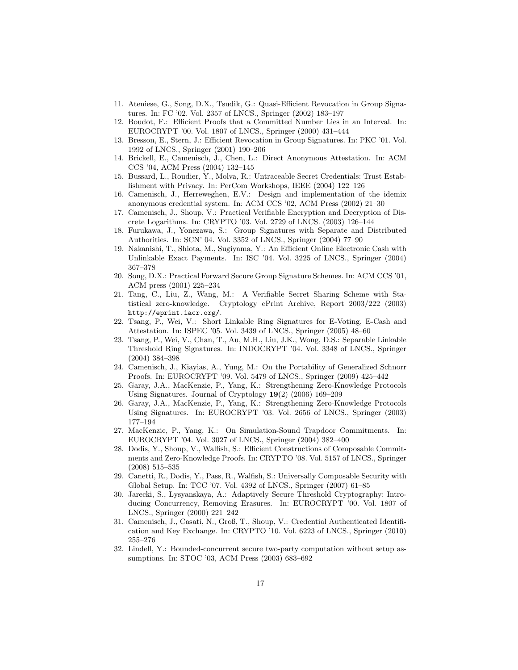- <span id="page-16-0"></span>11. Ateniese, G., Song, D.X., Tsudik, G.: Quasi-Efficient Revocation in Group Signatures. In: FC '02. Vol. 2357 of LNCS., Springer (2002) 183–197
- 12. Boudot, F.: Efficient Proofs that a Committed Number Lies in an Interval. In: EUROCRYPT '00. Vol. 1807 of LNCS., Springer (2000) 431–444
- 13. Bresson, E., Stern, J.: Efficient Revocation in Group Signatures. In: PKC '01. Vol. 1992 of LNCS., Springer (2001) 190–206
- <span id="page-16-11"></span>14. Brickell, E., Camenisch, J., Chen, L.: Direct Anonymous Attestation. In: ACM CCS '04, ACM Press (2004) 132–145
- 15. Bussard, L., Roudier, Y., Molva, R.: Untraceable Secret Credentials: Trust Establishment with Privacy. In: PerCom Workshops, IEEE (2004) 122–126
- <span id="page-16-12"></span>16. Camenisch, J., Herreweghen, E.V.: Design and implementation of the idemix anonymous credential system. In: ACM CCS '02, ACM Press (2002) 21–30
- 17. Camenisch, J., Shoup, V.: Practical Verifiable Encryption and Decryption of Discrete Logarithms. In: CRYPTO '03. Vol. 2729 of LNCS. (2003) 126–144
- 18. Furukawa, J., Yonezawa, S.: Group Signatures with Separate and Distributed Authorities. In: SCN' 04. Vol. 3352 of LNCS., Springer (2004) 77–90
- 19. Nakanishi, T., Shiota, M., Sugiyama, Y.: An Efficient Online Electronic Cash with Unlinkable Exact Payments. In: ISC '04. Vol. 3225 of LNCS., Springer (2004) 367–378
- 20. Song, D.X.: Practical Forward Secure Group Signature Schemes. In: ACM CCS '01, ACM press (2001) 225–234
- 21. Tang, C., Liu, Z., Wang, M.: A Verifiable Secret Sharing Scheme with Statistical zero-knowledge. Cryptology ePrint Archive, Report 2003/222 (2003) <http://eprint.iacr.org/>.
- 22. Tsang, P., Wei, V.: Short Linkable Ring Signatures for E-Voting, E-Cash and Attestation. In: ISPEC '05. Vol. 3439 of LNCS., Springer (2005) 48–60
- <span id="page-16-1"></span>23. Tsang, P., Wei, V., Chan, T., Au, M.H., Liu, J.K., Wong, D.S.: Separable Linkable Threshold Ring Signatures. In: INDOCRYPT '04. Vol. 3348 of LNCS., Springer (2004) 384–398
- <span id="page-16-2"></span>24. Camenisch, J., Kiayias, A., Yung, M.: On the Portability of Generalized Schnorr Proofs. In: EUROCRYPT '09. Vol. 5479 of LNCS., Springer (2009) 425–442
- <span id="page-16-3"></span>25. Garay, J.A., MacKenzie, P., Yang, K.: Strengthening Zero-Knowledge Protocols Using Signatures. Journal of Cryptology 19(2) (2006) 169–209
- <span id="page-16-4"></span>26. Garay, J.A., MacKenzie, P., Yang, K.: Strengthening Zero-Knowledge Protocols Using Signatures. In: EUROCRYPT '03. Vol. 2656 of LNCS., Springer (2003) 177–194
- <span id="page-16-5"></span>27. MacKenzie, P., Yang, K.: On Simulation-Sound Trapdoor Commitments. In: EUROCRYPT '04. Vol. 3027 of LNCS., Springer (2004) 382–400
- <span id="page-16-6"></span>28. Dodis, Y., Shoup, V., Walfish, S.: Efficient Constructions of Composable Commitments and Zero-Knowledge Proofs. In: CRYPTO '08. Vol. 5157 of LNCS., Springer (2008) 515–535
- <span id="page-16-7"></span>29. Canetti, R., Dodis, Y., Pass, R., Walfish, S.: Universally Composable Security with Global Setup. In: TCC '07. Vol. 4392 of LNCS., Springer (2007) 61–85
- <span id="page-16-8"></span>30. Jarecki, S., Lysyanskaya, A.: Adaptively Secure Threshold Cryptography: Introducing Concurrency, Removing Erasures. In: EUROCRYPT '00. Vol. 1807 of LNCS., Springer (2000) 221–242
- <span id="page-16-9"></span>31. Camenisch, J., Casati, N., Groß, T., Shoup, V.: Credential Authenticated Identification and Key Exchange. In: CRYPTO '10. Vol. 6223 of LNCS., Springer (2010) 255–276
- <span id="page-16-10"></span>32. Lindell, Y.: Bounded-concurrent secure two-party computation without setup assumptions. In: STOC '03, ACM Press (2003) 683–692